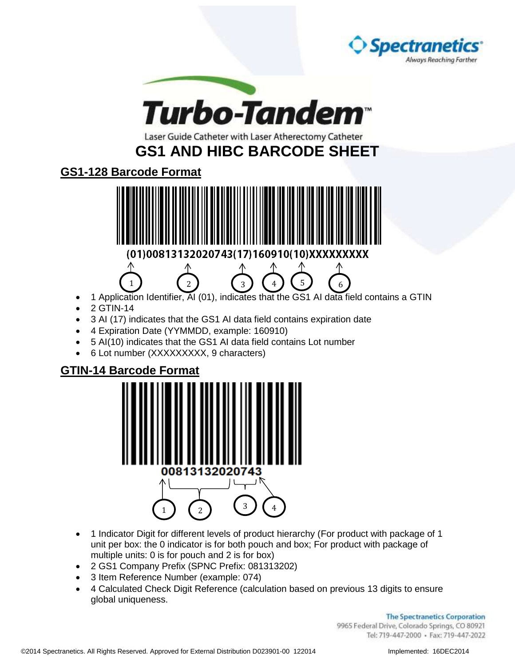



Laser Guide Catheter with Laser Atherectomy Catheter

**GS1 AND HIBC BARCODE SHEET** 

**GS1-128 Barcode Format**



1 Application Identifier, AI (01), indicates that the GS1 AI data field contains a GTIN

1  $\begin{pmatrix} 2 \end{pmatrix}$   $\begin{pmatrix} 3 \end{pmatrix}$   $\begin{pmatrix} 4 \end{pmatrix}$   $\begin{pmatrix} 5 \end{pmatrix}$   $\begin{pmatrix} 6 \end{pmatrix}$ 

- 2 GTIN-14
- 3 AI (17) indicates that the GS1 AI data field contains expiration date
- 4 Expiration Date (YYMMDD, example: 160910)
- 5 AI(10) indicates that the GS1 AI data field contains Lot number
- 6 Lot number (XXXXXXXXX, 9 characters)

## **GTIN-14 Barcode Format**



- 1 Indicator Digit for different levels of product hierarchy (For product with package of 1 unit per box: the 0 indicator is for both pouch and box; For product with package of multiple units: 0 is for pouch and 2 is for box)
- 2 GS1 Company Prefix (SPNC Prefix: 081313202)
- 3 Item Reference Number (example: 074)
- 4 Calculated Check Digit Reference (calculation based on previous 13 digits to ensure global uniqueness.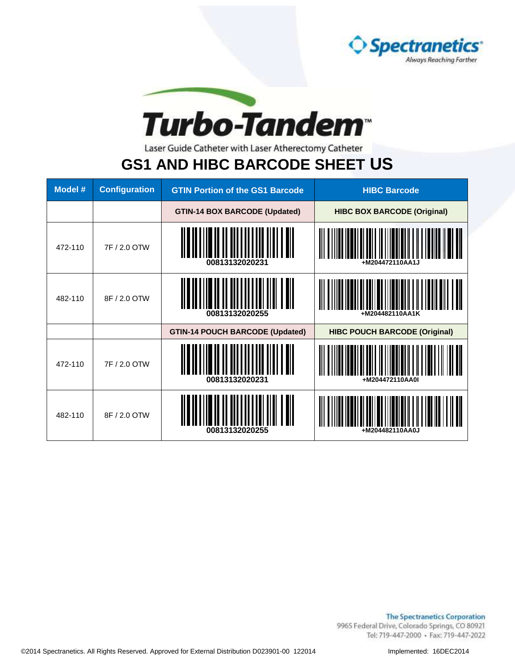



Laser Guide Catheter with Laser Atherectomy Catheter

## **GS1 AND HIBC BARCODE SHEET US**

| Model # | <b>Configuration</b> | <b>GTIN Portion of the GS1 Barcode</b> | <b>HIBC Barcode</b>                  |
|---------|----------------------|----------------------------------------|--------------------------------------|
|         |                      | <b>GTIN-14 BOX BARCODE (Updated)</b>   | <b>HIBC BOX BARCODE (Original)</b>   |
| 472-110 | 7F / 2.0 OTW         | 00813132020231                         | +M204472110AA1J                      |
| 482-110 | 8F / 2.0 OTW         | 00813132020255                         | +M204482110AA1K                      |
|         |                      | <b>GTIN-14 POUCH BARCODE (Updated)</b> | <b>HIBC POUCH BARCODE (Original)</b> |
| 472-110 | 7F / 2.0 OTW         | 00813132020231                         | +M204472110AA0I                      |
| 482-110 | 8F / 2.0 OTW         | 00813132020255                         | +M204482110AA0J                      |

**The Spectranetics Corporation** 9965 Federal Drive, Colorado Springs, CO 80921 Tel: 719-447-2000 · Fax: 719-447-2022